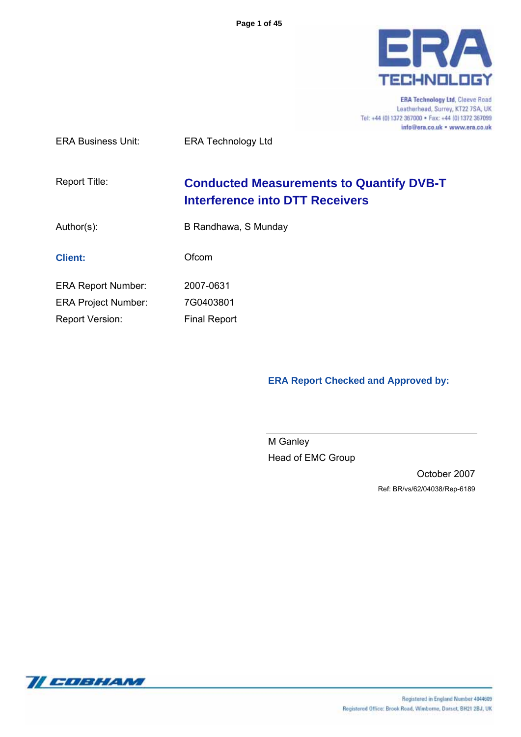

**ERA Technology Ltd, Cleeve Road** Leatherhead, Surrey, KT22 7SA, UK Tel: +44 (0) 1372 367000 · Fax: +44 (0) 1372 367099 info@era.co.uk - www.era.co.uk

ERA Business Unit: ERA Technology Ltd

# Report Title: **Conducted Measurements to Quantify DVB-T Interference into DTT Receivers**

Author(s): B Randhawa, S Munday

**Client:** Ofcom

ERA Report Number: 2007-0631 ERA Project Number: 7G0403801 Report Version: Final Report

### **ERA Report Checked and Approved by:**

M Ganley Head of EMC Group

> October 2007 Ref: BR/vs/62/04038/Rep-6189

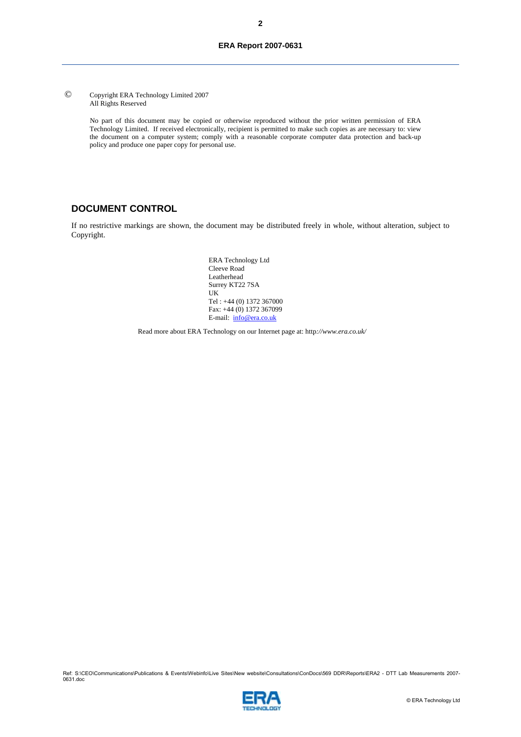© Copyright ERA Technology Limited 2007 All Rights Reserved

> No part of this document may be copied or otherwise reproduced without the prior written permission of ERA Technology Limited. If received electronically, recipient is permitted to make such copies as are necessary to: view the document on a computer system; comply with a reasonable corporate computer data protection and back-up policy and produce one paper copy for personal use.

### **DOCUMENT CONTROL**

If no restrictive markings are shown, the document may be distributed freely in whole, without alteration, subject to Copyright.

> ERA Technology Ltd Cleeve Road Leatherhead Surrey KT22 7SA UK Tel : +44 (0) 1372 367000 Fax: +44 (0) 1372 367099 E-mail: info@era.co.uk

Read more about ERA Technology on our Internet page at: http*://www.era.co.uk/*

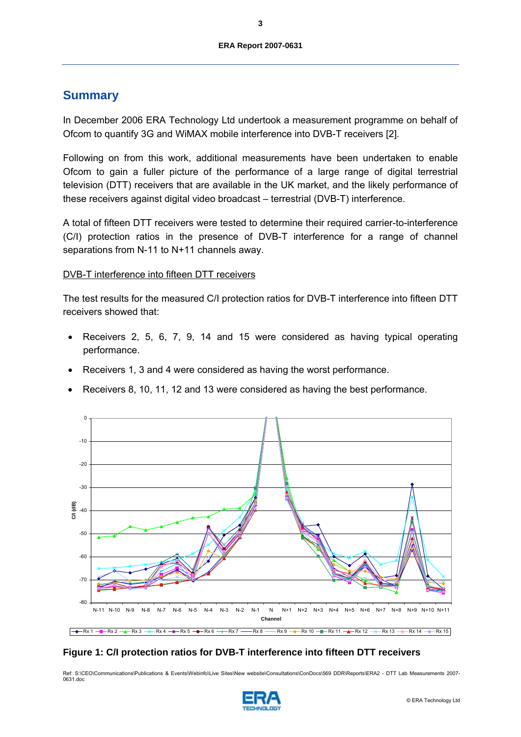**3** 

# **Summary**

In December 2006 ERA Technology Ltd undertook a measurement programme on behalf of Ofcom to quantify 3G and WiMAX mobile interference into DVB-T receivers [2].

Following on from this work, additional measurements have been undertaken to enable Ofcom to gain a fuller picture of the performance of a large range of digital terrestrial television (DTT) receivers that are available in the UK market, and the likely performance of these receivers against digital video broadcast – terrestrial (DVB-T) interference.

A total of fifteen DTT receivers were tested to determine their required carrier-to-interference (C/I) protection ratios in the presence of DVB-T interference for a range of channel separations from N-11 to N+11 channels away.

#### DVB-T interference into fifteen DTT receivers

The test results for the measured C/I protection ratios for DVB-T interference into fifteen DTT receivers showed that:

- Receivers 2, 5, 6, 7, 9, 14 and 15 were considered as having typical operating performance.
- Receivers 1, 3 and 4 were considered as having the worst performance.
- Receivers 8, 10, 11, 12 and 13 were considered as having the best performance.



#### **Figure 1: C/I protection ratios for DVB-T interference into fifteen DTT receivers**

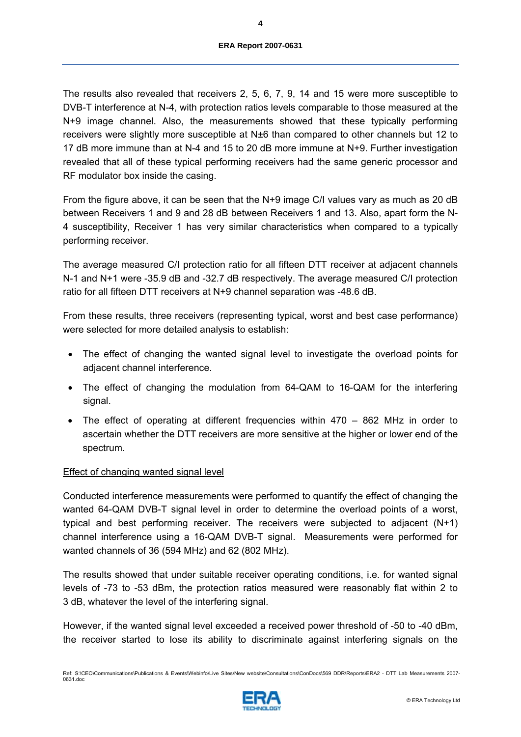The results also revealed that receivers 2, 5, 6, 7, 9, 14 and 15 were more susceptible to DVB-T interference at N-4, with protection ratios levels comparable to those measured at the N+9 image channel. Also, the measurements showed that these typically performing receivers were slightly more susceptible at N±6 than compared to other channels but 12 to 17 dB more immune than at N-4 and 15 to 20 dB more immune at N+9. Further investigation revealed that all of these typical performing receivers had the same generic processor and RF modulator box inside the casing.

From the figure above, it can be seen that the N+9 image C/I values vary as much as 20 dB between Receivers 1 and 9 and 28 dB between Receivers 1 and 13. Also, apart form the N-4 susceptibility, Receiver 1 has very similar characteristics when compared to a typically performing receiver.

The average measured C/I protection ratio for all fifteen DTT receiver at adjacent channels N-1 and N+1 were -35.9 dB and -32.7 dB respectively. The average measured C/I protection ratio for all fifteen DTT receivers at N+9 channel separation was -48.6 dB.

From these results, three receivers (representing typical, worst and best case performance) were selected for more detailed analysis to establish:

- The effect of changing the wanted signal level to investigate the overload points for adjacent channel interference.
- The effect of changing the modulation from 64-QAM to 16-QAM for the interfering signal.
- The effect of operating at different frequencies within  $470 862$  MHz in order to ascertain whether the DTT receivers are more sensitive at the higher or lower end of the spectrum.

#### Effect of changing wanted signal level

Conducted interference measurements were performed to quantify the effect of changing the wanted 64-QAM DVB-T signal level in order to determine the overload points of a worst, typical and best performing receiver. The receivers were subjected to adjacent (N+1) channel interference using a 16-QAM DVB-T signal. Measurements were performed for wanted channels of 36 (594 MHz) and 62 (802 MHz).

The results showed that under suitable receiver operating conditions, i.e. for wanted signal levels of -73 to -53 dBm, the protection ratios measured were reasonably flat within 2 to 3 dB, whatever the level of the interfering signal.

However, if the wanted signal level exceeded a received power threshold of -50 to -40 dBm, the receiver started to lose its ability to discriminate against interfering signals on the

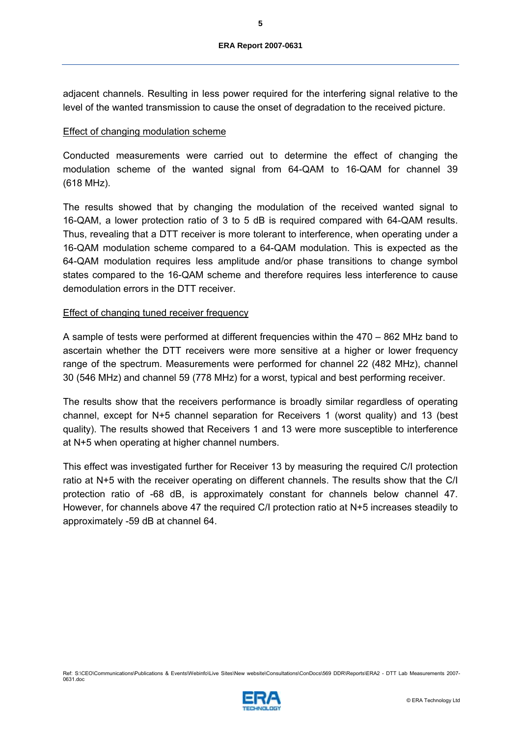adjacent channels. Resulting in less power required for the interfering signal relative to the level of the wanted transmission to cause the onset of degradation to the received picture.

### Effect of changing modulation scheme

Conducted measurements were carried out to determine the effect of changing the modulation scheme of the wanted signal from 64-QAM to 16-QAM for channel 39 (618 MHz).

The results showed that by changing the modulation of the received wanted signal to 16-QAM, a lower protection ratio of 3 to 5 dB is required compared with 64-QAM results. Thus, revealing that a DTT receiver is more tolerant to interference, when operating under a 16-QAM modulation scheme compared to a 64-QAM modulation. This is expected as the 64-QAM modulation requires less amplitude and/or phase transitions to change symbol states compared to the 16-QAM scheme and therefore requires less interference to cause demodulation errors in the DTT receiver.

### Effect of changing tuned receiver frequency

A sample of tests were performed at different frequencies within the 470 – 862 MHz band to ascertain whether the DTT receivers were more sensitive at a higher or lower frequency range of the spectrum. Measurements were performed for channel 22 (482 MHz), channel 30 (546 MHz) and channel 59 (778 MHz) for a worst, typical and best performing receiver.

The results show that the receivers performance is broadly similar regardless of operating channel, except for N+5 channel separation for Receivers 1 (worst quality) and 13 (best quality). The results showed that Receivers 1 and 13 were more susceptible to interference at N+5 when operating at higher channel numbers.

This effect was investigated further for Receiver 13 by measuring the required C/I protection ratio at N+5 with the receiver operating on different channels. The results show that the C/I protection ratio of -68 dB, is approximately constant for channels below channel 47. However, for channels above 47 the required C/I protection ratio at N+5 increases steadily to approximately -59 dB at channel 64.

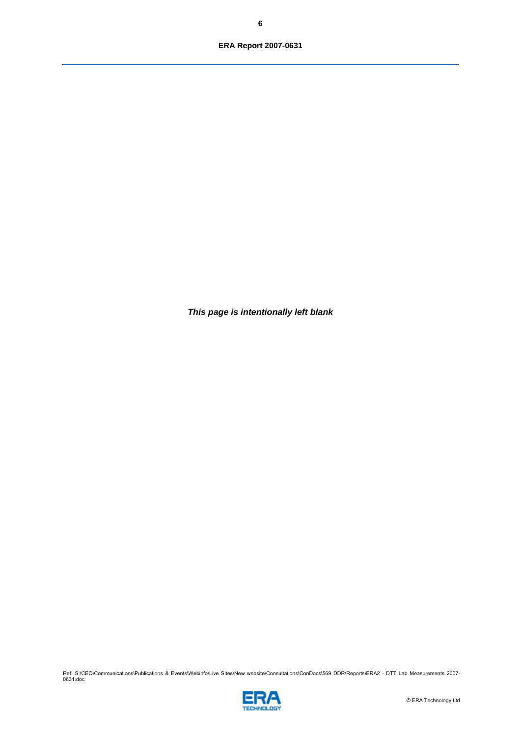**6** 

*This page is intentionally left blank* 

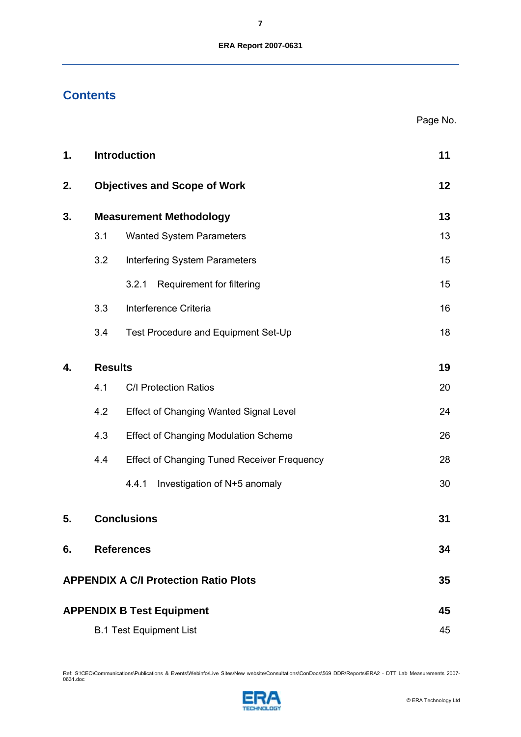# **Contents**

|    |                                     |                                                    | Page No. |  |  |  |  |  |
|----|-------------------------------------|----------------------------------------------------|----------|--|--|--|--|--|
| 1. |                                     | <b>Introduction</b>                                | 11       |  |  |  |  |  |
| 2. | <b>Objectives and Scope of Work</b> | 12                                                 |          |  |  |  |  |  |
| 3. |                                     | <b>Measurement Methodology</b>                     | 13       |  |  |  |  |  |
|    | 3.1                                 | <b>Wanted System Parameters</b>                    | 13       |  |  |  |  |  |
|    | 3.2                                 | <b>Interfering System Parameters</b>               | 15       |  |  |  |  |  |
|    |                                     | Requirement for filtering<br>3.2.1                 | 15       |  |  |  |  |  |
|    | 3.3                                 | Interference Criteria                              | 16       |  |  |  |  |  |
|    | 3.4                                 | Test Procedure and Equipment Set-Up                | 18       |  |  |  |  |  |
| 4. | <b>Results</b>                      |                                                    | 19       |  |  |  |  |  |
|    | 4.1                                 | <b>C/I Protection Ratios</b>                       | 20       |  |  |  |  |  |
|    | 4.2                                 | Effect of Changing Wanted Signal Level             | 24       |  |  |  |  |  |
|    | 4.3                                 | <b>Effect of Changing Modulation Scheme</b>        | 26       |  |  |  |  |  |
|    | 4.4                                 | <b>Effect of Changing Tuned Receiver Frequency</b> | 28       |  |  |  |  |  |
|    |                                     | Investigation of N+5 anomaly<br>4.4.1              | 30       |  |  |  |  |  |
| 5. |                                     | <b>Conclusions</b>                                 | 31       |  |  |  |  |  |
| 6. |                                     | <b>References</b>                                  | 34       |  |  |  |  |  |
|    |                                     | <b>APPENDIX A C/I Protection Ratio Plots</b>       | 35       |  |  |  |  |  |
|    |                                     | <b>APPENDIX B Test Equipment</b>                   | 45       |  |  |  |  |  |
|    | <b>B.1 Test Equipment List</b>      |                                                    |          |  |  |  |  |  |

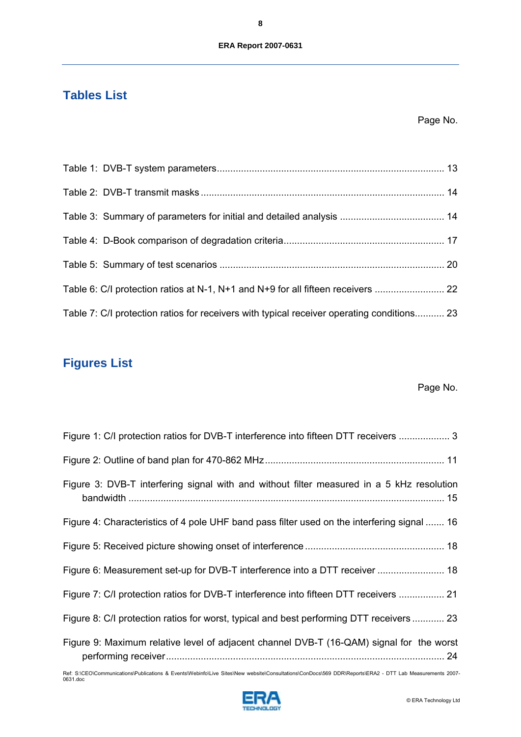# **Tables List**

Page No.

| Table 6: C/I protection ratios at N-1, N+1 and N+9 for all fifteen receivers  22           |  |
|--------------------------------------------------------------------------------------------|--|
| Table 7: C/I protection ratios for receivers with typical receiver operating conditions 23 |  |

# **Figures List**

Page No.

| Figure 1: C/I protection ratios for DVB-T interference into fifteen DTT receivers  3                                                                                |
|---------------------------------------------------------------------------------------------------------------------------------------------------------------------|
|                                                                                                                                                                     |
| Figure 3: DVB-T interfering signal with and without filter measured in a 5 kHz resolution                                                                           |
| Figure 4: Characteristics of 4 pole UHF band pass filter used on the interfering signal  16                                                                         |
|                                                                                                                                                                     |
| Figure 6: Measurement set-up for DVB-T interference into a DTT receiver  18                                                                                         |
| Figure 7: C/I protection ratios for DVB-T interference into fifteen DTT receivers  21                                                                               |
| Figure 8: C/I protection ratios for worst, typical and best performing DTT receivers  23                                                                            |
| Figure 9: Maximum relative level of adjacent channel DVB-T (16-QAM) signal for the worst                                                                            |
| Ref: S:\CEO\Communications\Publications & Events\Webinfo\Live Sites\New website\Consultations\ConDocs\569 DDR\Reports\ERA2 - DTT Lab Measurements 2007-<br>0631.doc |

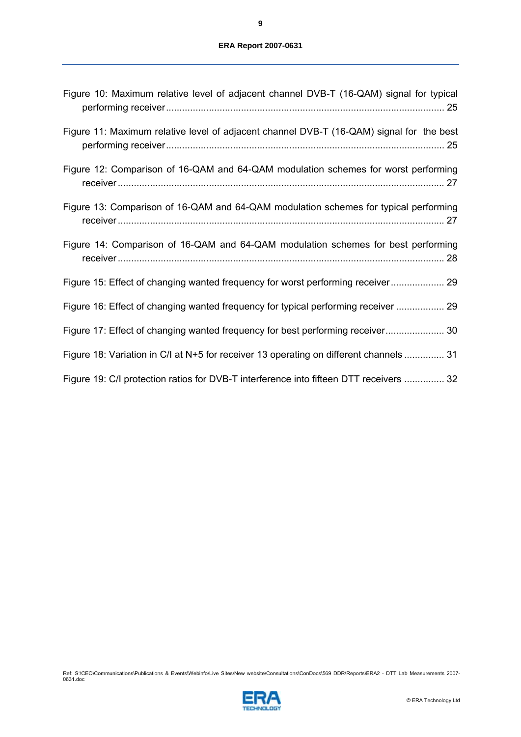| Figure 10: Maximum relative level of adjacent channel DVB-T (16-QAM) signal for typical  |
|------------------------------------------------------------------------------------------|
| Figure 11: Maximum relative level of adjacent channel DVB-T (16-QAM) signal for the best |
| Figure 12: Comparison of 16-QAM and 64-QAM modulation schemes for worst performing       |
| Figure 13: Comparison of 16-QAM and 64-QAM modulation schemes for typical performing     |
| Figure 14: Comparison of 16-QAM and 64-QAM modulation schemes for best performing        |
| Figure 15: Effect of changing wanted frequency for worst performing receiver 29          |
| Figure 16: Effect of changing wanted frequency for typical performing receiver  29       |
| Figure 17: Effect of changing wanted frequency for best performing receiver 30           |
| Figure 18: Variation in C/I at N+5 for receiver 13 operating on different channels  31   |
| Figure 19: C/I protection ratios for DVB-T interference into fifteen DTT receivers  32   |

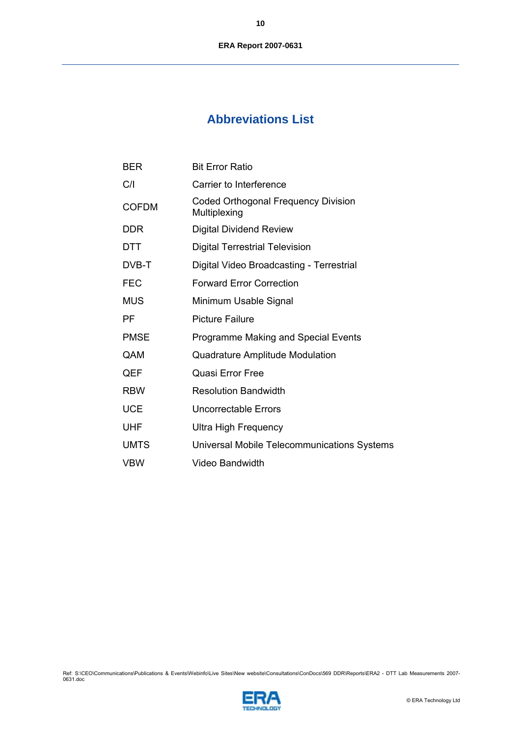# **Abbreviations List**

| <b>BER</b>   | <b>Bit Error Ratio</b>                              |
|--------------|-----------------------------------------------------|
| C/I          | Carrier to Interference                             |
| <b>COFDM</b> | Coded Orthogonal Frequency Division<br>Multiplexing |
| DDR          | <b>Digital Dividend Review</b>                      |
| <b>DTT</b>   | <b>Digital Terrestrial Television</b>               |
| DVB-T        | Digital Video Broadcasting - Terrestrial            |
| FEC          | <b>Forward Error Correction</b>                     |
| MUS          | Minimum Usable Signal                               |
| РF           | <b>Picture Failure</b>                              |
| <b>PMSE</b>  | Programme Making and Special Events                 |
| QAM          | Quadrature Amplitude Modulation                     |
| QEF          | Quasi Error Free                                    |
| <b>RBW</b>   | <b>Resolution Bandwidth</b>                         |
| <b>UCE</b>   | <b>Uncorrectable Errors</b>                         |
| <b>UHF</b>   | Ultra High Frequency                                |
| <b>UMTS</b>  | Universal Mobile Telecommunications Systems         |
| <b>VBW</b>   | Video Bandwidth                                     |

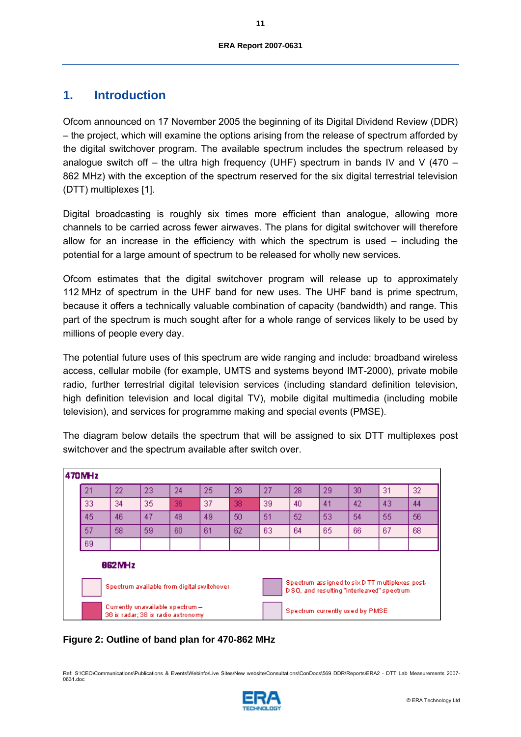# **1. Introduction**

Ofcom announced on 17 November 2005 the beginning of its Digital Dividend Review (DDR) – the project, which will examine the options arising from the release of spectrum afforded by the digital switchover program. The available spectrum includes the spectrum released by analogue switch off – the ultra high frequency (UHF) spectrum in bands IV and V (470 – 862 MHz) with the exception of the spectrum reserved for the six digital terrestrial television (DTT) multiplexes [1].

Digital broadcasting is roughly six times more efficient than analogue, allowing more channels to be carried across fewer airwaves. The plans for digital switchover will therefore allow for an increase in the efficiency with which the spectrum is used – including the potential for a large amount of spectrum to be released for wholly new services.

Ofcom estimates that the digital switchover program will release up to approximately 112 MHz of spectrum in the UHF band for new uses. The UHF band is prime spectrum, because it offers a technically valuable combination of capacity (bandwidth) and range. This part of the spectrum is much sought after for a whole range of services likely to be used by millions of people every day.

The potential future uses of this spectrum are wide ranging and include: broadband wireless access, cellular mobile (for example, UMTS and systems beyond IMT-2000), private mobile radio, further terrestrial digital television services (including standard definition television, high definition television and local digital TV), mobile digital multimedia (including mobile television), and services for programme making and special events (PMSE).

| 470MHz                                                                                                                                               |    |    |    |    |    |    |    |                                 |    |    |    |
|------------------------------------------------------------------------------------------------------------------------------------------------------|----|----|----|----|----|----|----|---------------------------------|----|----|----|
| 21                                                                                                                                                   | 22 | 23 | 24 | 25 | 26 | 27 | 28 | 29                              | 30 | 31 | 32 |
| 33                                                                                                                                                   | 34 | 35 | 36 | 37 | 38 | 39 | 40 | 41                              | 42 | 43 | 44 |
| 45                                                                                                                                                   | 46 | 47 | 48 | 49 | 50 | 51 | 52 | 53                              | 54 | 55 | 56 |
| 57                                                                                                                                                   | 58 | 59 | 60 | 61 | 62 | 63 | 64 | 65                              | 66 | 67 | 68 |
| 69                                                                                                                                                   |    |    |    |    |    |    |    |                                 |    |    |    |
| 862MHz<br>Spectrum assigned to six DIT multiplexes post-<br>Spectrum available from digital switchover<br>D SO, and resulting "interleaved" spectrum |    |    |    |    |    |    |    |                                 |    |    |    |
| Currently unavailable spectrum-<br>36 is radar; 38 is radio astronomy.                                                                               |    |    |    |    |    |    |    | Spectrum currently used by PMSE |    |    |    |

The diagram below details the spectrum that will be assigned to six DTT multiplexes post switchover and the spectrum available after switch over.

#### **Figure 2: Outline of band plan for 470-862 MHz**

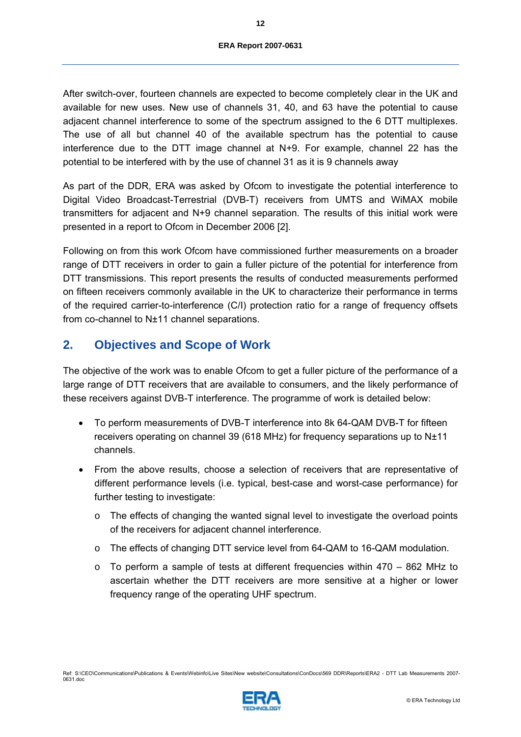After switch-over, fourteen channels are expected to become completely clear in the UK and available for new uses. New use of channels 31, 40, and 63 have the potential to cause adjacent channel interference to some of the spectrum assigned to the 6 DTT multiplexes. The use of all but channel 40 of the available spectrum has the potential to cause interference due to the DTT image channel at N+9. For example, channel 22 has the potential to be interfered with by the use of channel 31 as it is 9 channels away

As part of the DDR, ERA was asked by Ofcom to investigate the potential interference to Digital Video Broadcast-Terrestrial (DVB-T) receivers from UMTS and WiMAX mobile transmitters for adjacent and N+9 channel separation. The results of this initial work were presented in a report to Ofcom in December 2006 [2].

Following on from this work Ofcom have commissioned further measurements on a broader range of DTT receivers in order to gain a fuller picture of the potential for interference from DTT transmissions. This report presents the results of conducted measurements performed on fifteen receivers commonly available in the UK to characterize their performance in terms of the required carrier-to-interference (C/I) protection ratio for a range of frequency offsets from co-channel to N±11 channel separations.

# **2. Objectives and Scope of Work**

The objective of the work was to enable Ofcom to get a fuller picture of the performance of a large range of DTT receivers that are available to consumers, and the likely performance of these receivers against DVB-T interference. The programme of work is detailed below:

- To perform measurements of DVB-T interference into 8k 64-QAM DVB-T for fifteen receivers operating on channel 39 (618 MHz) for frequency separations up to N±11 channels.
- From the above results, choose a selection of receivers that are representative of different performance levels (i.e. typical, best-case and worst-case performance) for further testing to investigate:
	- $\circ$  The effects of changing the wanted signal level to investigate the overload points of the receivers for adjacent channel interference.
	- o The effects of changing DTT service level from 64-QAM to 16-QAM modulation.
	- $\circ$  To perform a sample of tests at different frequencies within 470 862 MHz to ascertain whether the DTT receivers are more sensitive at a higher or lower frequency range of the operating UHF spectrum.

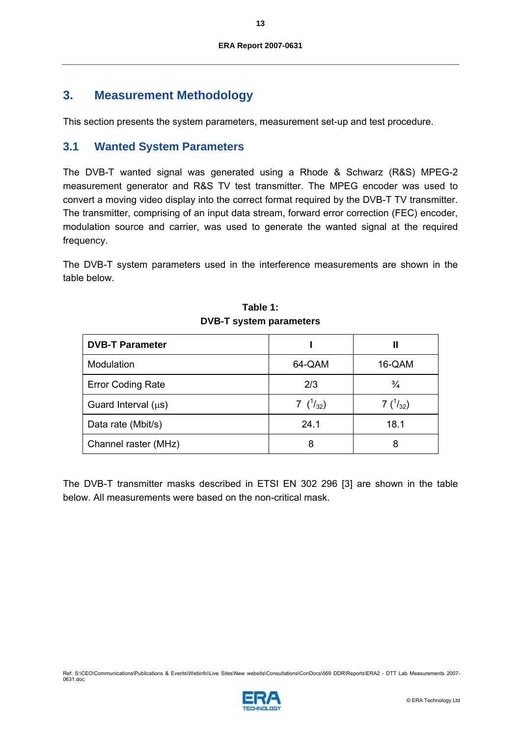# **3. Measurement Methodology**

This section presents the system parameters, measurement set-up and test procedure.

# **3.1 Wanted System Parameters**

The DVB-T wanted signal was generated using a Rhode & Schwarz (R&S) MPEG-2 measurement generator and R&S TV test transmitter. The MPEG encoder was used to convert a moving video display into the correct format required by the DVB-T TV transmitter. The transmitter, comprising of an input data stream, forward error correction (FEC) encoder, modulation source and carrier, was used to generate the wanted signal at the required frequency.

The DVB-T system parameters used in the interference measurements are shown in the table below.

| <b>DVB-T Parameter</b>   |                  | Ш               |  |
|--------------------------|------------------|-----------------|--|
| Modulation               | 64-QAM           | 16-QAM          |  |
| <b>Error Coding Rate</b> | 2/3              | $\frac{3}{4}$   |  |
| Guard Interval $(\mu s)$ | 7 $(^{1}/_{32})$ | $7(^{1}/_{32})$ |  |
| Data rate (Mbit/s)       | 24.1             | 18.1            |  |
| Channel raster (MHz)     | 8                | 8               |  |

**Table 1: DVB-T system parameters** 

The DVB-T transmitter masks described in ETSI EN 302 296 [3] are shown in the table below. All measurements were based on the non-critical mask.

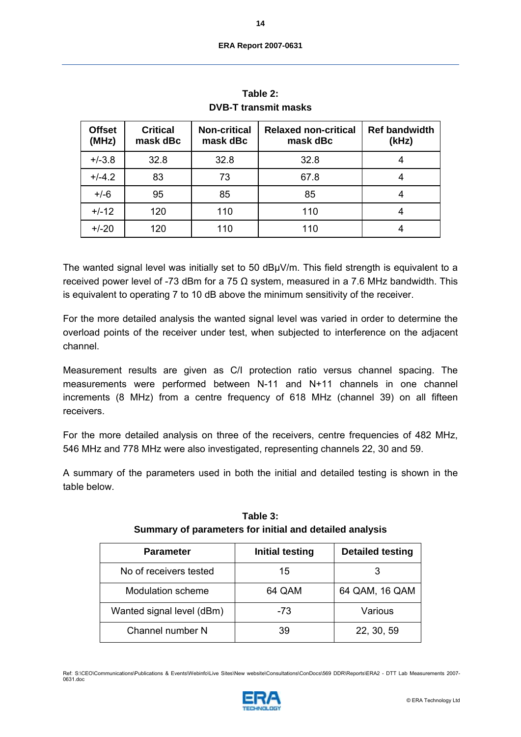| <b>Offset</b><br>(MHz) | <b>Critical</b><br>mask dBc | <b>Non-critical</b><br>mask dBc | <b>Relaxed non-critical</b><br>mask dBc | <b>Ref bandwidth</b><br>(kHz) |
|------------------------|-----------------------------|---------------------------------|-----------------------------------------|-------------------------------|
| $+/-3.8$               | 32.8                        | 32.8                            | 32.8                                    | 4                             |
| $+/-4.2$               | 83                          | 73                              | 67.8                                    | 4                             |
| $+/-6$                 | 95                          | 85                              | 85                                      | 4                             |
| $+/-12$                | 120                         | 110                             | 110                                     | 4                             |
| $+/-20$                | 120                         | 110                             | 110                                     | 4                             |

**Table 2: DVB-T transmit masks** 

The wanted signal level was initially set to 50 dBµV/m. This field strength is equivalent to a received power level of -73 dBm for a 75  $\Omega$  system, measured in a 7.6 MHz bandwidth. This is equivalent to operating 7 to 10 dB above the minimum sensitivity of the receiver.

For the more detailed analysis the wanted signal level was varied in order to determine the overload points of the receiver under test, when subjected to interference on the adjacent channel.

Measurement results are given as C/I protection ratio versus channel spacing. The measurements were performed between N-11 and N+11 channels in one channel increments (8 MHz) from a centre frequency of 618 MHz (channel 39) on all fifteen receivers.

For the more detailed analysis on three of the receivers, centre frequencies of 482 MHz, 546 MHz and 778 MHz were also investigated, representing channels 22, 30 and 59.

A summary of the parameters used in both the initial and detailed testing is shown in the table below.

| <b>Parameter</b>          | Initial testing | <b>Detailed testing</b> |
|---------------------------|-----------------|-------------------------|
| No of receivers tested    | 15              |                         |
| <b>Modulation scheme</b>  | 64 QAM          | 64 QAM, 16 QAM          |
| Wanted signal level (dBm) | $-73$           | Various                 |
| Channel number N          | 39              | 22, 30, 59              |

## **Table 3: Summary of parameters for initial and detailed analysis**

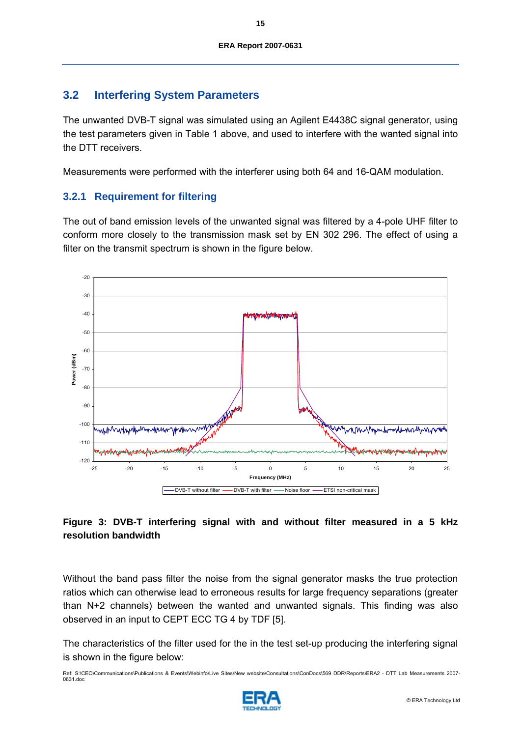# **3.2 Interfering System Parameters**

The unwanted DVB-T signal was simulated using an Agilent E4438C signal generator, using the test parameters given in Table 1 above, and used to interfere with the wanted signal into the DTT receivers.

Measurements were performed with the interferer using both 64 and 16-QAM modulation.

### **3.2.1 Requirement for filtering**

The out of band emission levels of the unwanted signal was filtered by a 4-pole UHF filter to conform more closely to the transmission mask set by EN 302 296. The effect of using a filter on the transmit spectrum is shown in the figure below.



## **Figure 3: DVB-T interfering signal with and without filter measured in a 5 kHz resolution bandwidth**

Without the band pass filter the noise from the signal generator masks the true protection ratios which can otherwise lead to erroneous results for large frequency separations (greater than N+2 channels) between the wanted and unwanted signals. This finding was also observed in an input to CEPT ECC TG 4 by TDF [5].

The characteristics of the filter used for the in the test set-up producing the interfering signal is shown in the figure below:

Ref: S:\CEO\Communications\Publications & Events\Webinfo\Live Sites\New website\Consultations\ConDocs\569 DDR\Reports\ERA2 - DTT Lab Measurements 2007-0631.doc

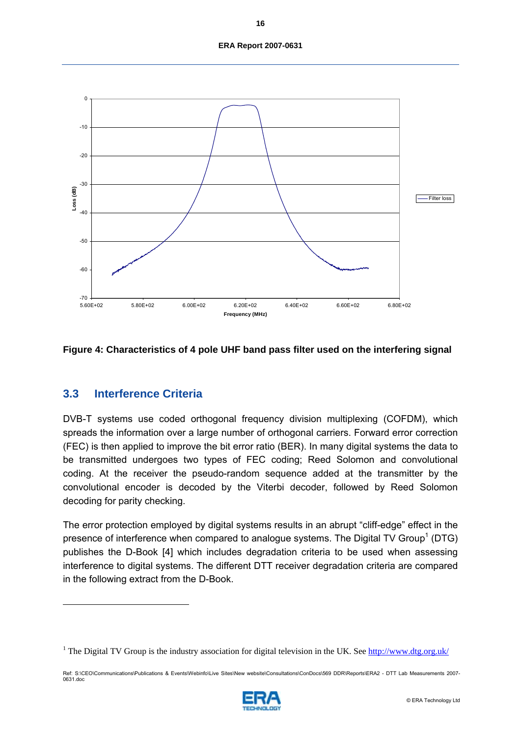

### **Figure 4: Characteristics of 4 pole UHF band pass filter used on the interfering signal**

# **3.3 Interference Criteria**

1

DVB-T systems use coded orthogonal frequency division multiplexing (COFDM), which spreads the information over a large number of orthogonal carriers. Forward error correction (FEC) is then applied to improve the bit error ratio (BER). In many digital systems the data to be transmitted undergoes two types of FEC coding; Reed Solomon and convolutional coding. At the receiver the pseudo-random sequence added at the transmitter by the convolutional encoder is decoded by the Viterbi decoder, followed by Reed Solomon decoding for parity checking.

The error protection employed by digital systems results in an abrupt "cliff-edge" effect in the presence of interference when compared to analogue systems. The Digital TV Group<sup>1</sup> (DTG) publishes the D-Book [4] which includes degradation criteria to be used when assessing interference to digital systems. The different DTT receiver degradation criteria are compared in the following extract from the D-Book.

Ref: S:\CEO\Communications\Publications & Events\Webinfo\Live Sites\New website\Consultations\ConDocs\569 DDR\Reports\ERA2 - DTT Lab Measurements 2007-0631.doc



<sup>&</sup>lt;sup>1</sup> The Digital TV Group is the industry association for digital television in the UK. See http://www.dtg.org.uk/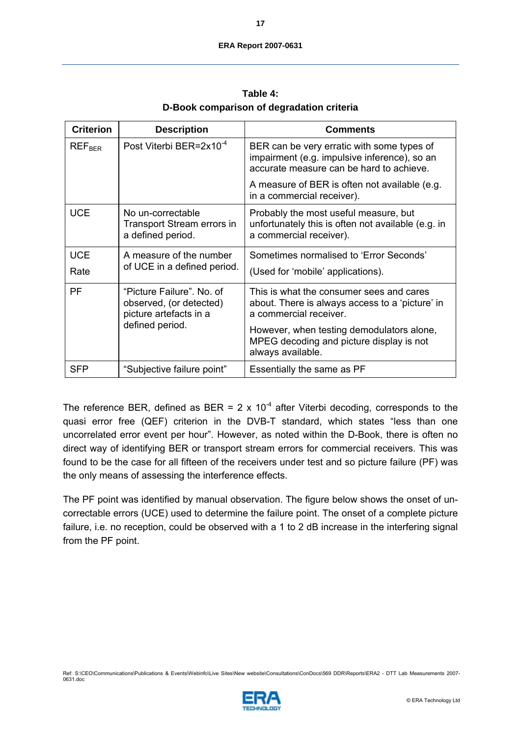| <b>Criterion</b>   | <b>Description</b>                                                             | <b>Comments</b>                                                                                                                        |  |  |
|--------------------|--------------------------------------------------------------------------------|----------------------------------------------------------------------------------------------------------------------------------------|--|--|
| REF <sub>BER</sub> | Post Viterbi BER=2x10 <sup>-4</sup>                                            | BER can be very erratic with some types of<br>impairment (e.g. impulsive inference), so an<br>accurate measure can be hard to achieve. |  |  |
|                    |                                                                                | A measure of BER is often not available (e.g.<br>in a commercial receiver).                                                            |  |  |
| <b>UCE</b>         | No un-correctable<br>Transport Stream errors in<br>a defined period.           | Probably the most useful measure, but<br>unfortunately this is often not available (e.g. in<br>a commercial receiver).                 |  |  |
| <b>UCE</b>         | A measure of the number                                                        | Sometimes normalised to 'Error Seconds'                                                                                                |  |  |
| Rate               | of UCE in a defined period.                                                    | (Used for 'mobile' applications).                                                                                                      |  |  |
| <b>PF</b>          | "Picture Failure". No. of<br>observed, (or detected)<br>picture artefacts in a | This is what the consumer sees and cares<br>about. There is always access to a 'picture' in<br>a commercial receiver.                  |  |  |
|                    | defined period.                                                                | However, when testing demodulators alone,<br>MPEG decoding and picture display is not<br>always available.                             |  |  |
| <b>SFP</b>         | "Subjective failure point"                                                     | Essentially the same as PF                                                                                                             |  |  |

**Table 4: D-Book comparison of degradation criteria** 

The reference BER, defined as BER =  $2 \times 10^{-4}$  after Viterbi decoding, corresponds to the quasi error free (QEF) criterion in the DVB-T standard, which states "less than one uncorrelated error event per hour". However, as noted within the D-Book, there is often no direct way of identifying BER or transport stream errors for commercial receivers. This was found to be the case for all fifteen of the receivers under test and so picture failure (PF) was the only means of assessing the interference effects.

The PF point was identified by manual observation. The figure below shows the onset of uncorrectable errors (UCE) used to determine the failure point. The onset of a complete picture failure, i.e. no reception, could be observed with a 1 to 2 dB increase in the interfering signal from the PF point.

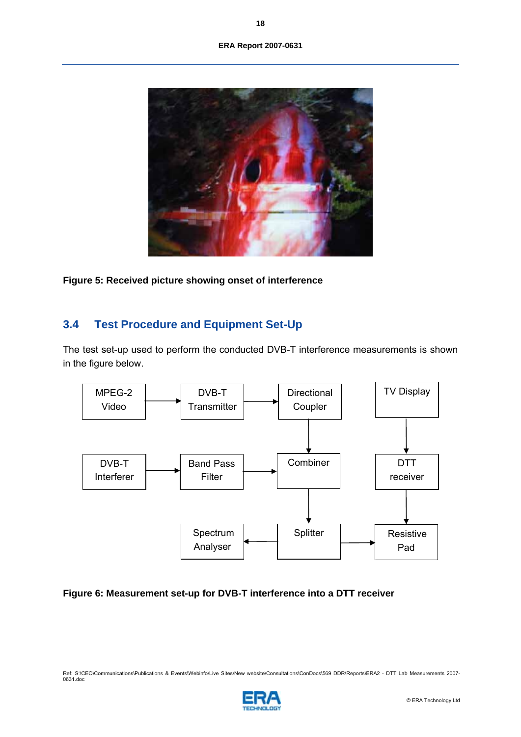

**Figure 5: Received picture showing onset of interference** 

# **3.4 Test Procedure and Equipment Set-Up**

The test set-up used to perform the conducted DVB-T interference measurements is shown in the figure below.



### **Figure 6: Measurement set-up for DVB-T interference into a DTT receiver**

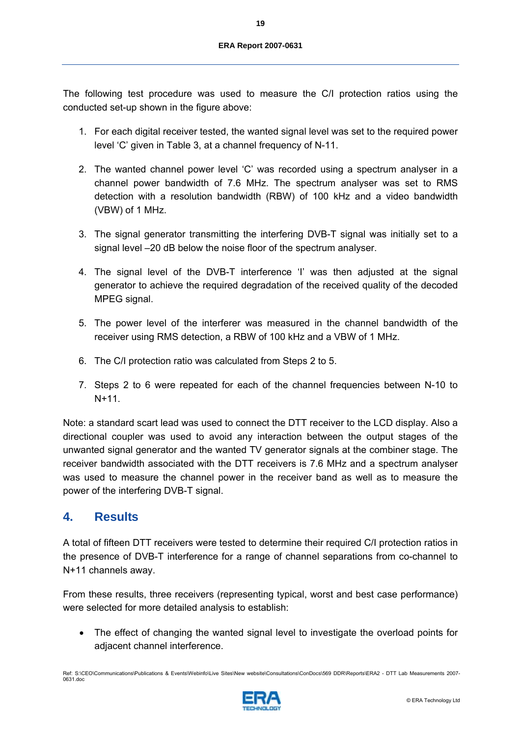The following test procedure was used to measure the C/I protection ratios using the conducted set-up shown in the figure above:

- 1. For each digital receiver tested, the wanted signal level was set to the required power level 'C' given in Table 3, at a channel frequency of N-11.
- 2. The wanted channel power level 'C' was recorded using a spectrum analyser in a channel power bandwidth of 7.6 MHz. The spectrum analyser was set to RMS detection with a resolution bandwidth (RBW) of 100 kHz and a video bandwidth (VBW) of 1 MHz.
- 3. The signal generator transmitting the interfering DVB-T signal was initially set to a signal level –20 dB below the noise floor of the spectrum analyser.
- 4. The signal level of the DVB-T interference 'I' was then adjusted at the signal generator to achieve the required degradation of the received quality of the decoded MPEG signal.
- 5. The power level of the interferer was measured in the channel bandwidth of the receiver using RMS detection, a RBW of 100 kHz and a VBW of 1 MHz.
- 6. The C/I protection ratio was calculated from Steps 2 to 5.
- 7. Steps 2 to 6 were repeated for each of the channel frequencies between N-10 to N+11.

Note: a standard scart lead was used to connect the DTT receiver to the LCD display. Also a directional coupler was used to avoid any interaction between the output stages of the unwanted signal generator and the wanted TV generator signals at the combiner stage. The receiver bandwidth associated with the DTT receivers is 7.6 MHz and a spectrum analyser was used to measure the channel power in the receiver band as well as to measure the power of the interfering DVB-T signal.

# **4. Results**

A total of fifteen DTT receivers were tested to determine their required C/I protection ratios in the presence of DVB-T interference for a range of channel separations from co-channel to N+11 channels away.

From these results, three receivers (representing typical, worst and best case performance) were selected for more detailed analysis to establish:

• The effect of changing the wanted signal level to investigate the overload points for adjacent channel interference.

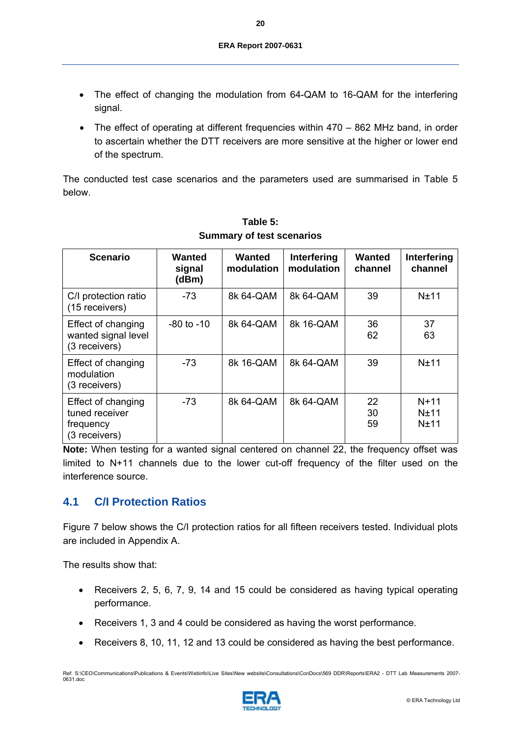**20** 

- The effect of changing the modulation from 64-QAM to 16-QAM for the interfering signal.
- The effect of operating at different frequencies within 470 862 MHz band, in order to ascertain whether the DTT receivers are more sensitive at the higher or lower end of the spectrum.

The conducted test case scenarios and the parameters used are summarised in Table 5 below.

| <b>Scenario</b>                                                    | Wanted<br>signal<br>(dBm) | <b>Wanted</b><br>modulation | Interfering<br>modulation | <b>Wanted</b><br>channel | Interfering<br>channel |
|--------------------------------------------------------------------|---------------------------|-----------------------------|---------------------------|--------------------------|------------------------|
| C/I protection ratio<br>(15 receivers)                             | $-73$                     | 8k 64-QAM                   | 8k 64-QAM                 | 39                       | N±11                   |
| Effect of changing<br>wanted signal level<br>(3 receivers)         | $-80$ to $-10$            | 8k 64-QAM                   | 8k 16-QAM                 | 36<br>62                 | 37<br>63               |
| Effect of changing<br>modulation<br>(3 receivers)                  | $-73$                     | 8k 16-QAM                   | 8k 64-QAM                 | 39                       | N±11                   |
| Effect of changing<br>tuned receiver<br>frequency<br>(3 receivers) | $-73$                     | 8k 64-QAM                   | 8k 64-QAM                 | 22<br>30<br>59           | $N+11$<br>N±11<br>N±11 |

**Table 5: Summary of test scenarios** 

**Note:** When testing for a wanted signal centered on channel 22, the frequency offset was limited to N+11 channels due to the lower cut-off frequency of the filter used on the interference source.

# **4.1 C/I Protection Ratios**

Figure 7 below shows the C/I protection ratios for all fifteen receivers tested. Individual plots are included in Appendix A.

The results show that:

- Receivers 2, 5, 6, 7, 9, 14 and 15 could be considered as having typical operating performance.
- Receivers 1, 3 and 4 could be considered as having the worst performance.
- Receivers 8, 10, 11, 12 and 13 could be considered as having the best performance.

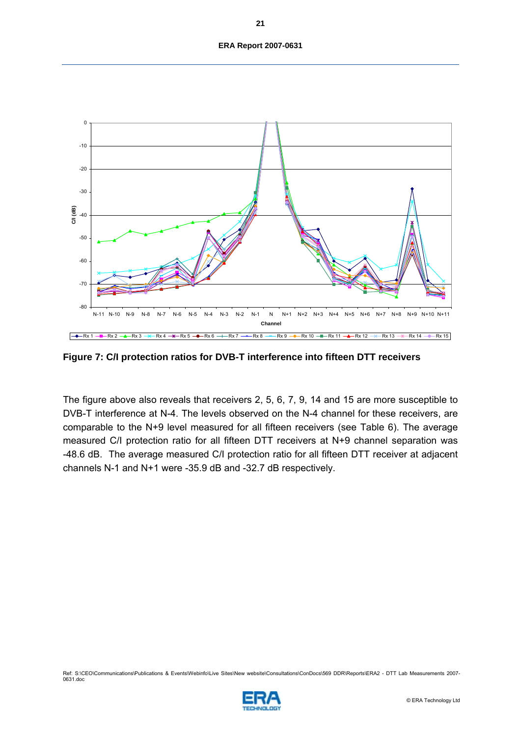

**21** 



**Figure 7: C/I protection ratios for DVB-T interference into fifteen DTT receivers** 

The figure above also reveals that receivers 2, 5, 6, 7, 9, 14 and 15 are more susceptible to DVB-T interference at N-4. The levels observed on the N-4 channel for these receivers, are comparable to the N+9 level measured for all fifteen receivers (see Table 6). The average measured C/I protection ratio for all fifteen DTT receivers at N+9 channel separation was -48.6 dB. The average measured C/I protection ratio for all fifteen DTT receiver at adjacent channels N-1 and N+1 were -35.9 dB and -32.7 dB respectively.

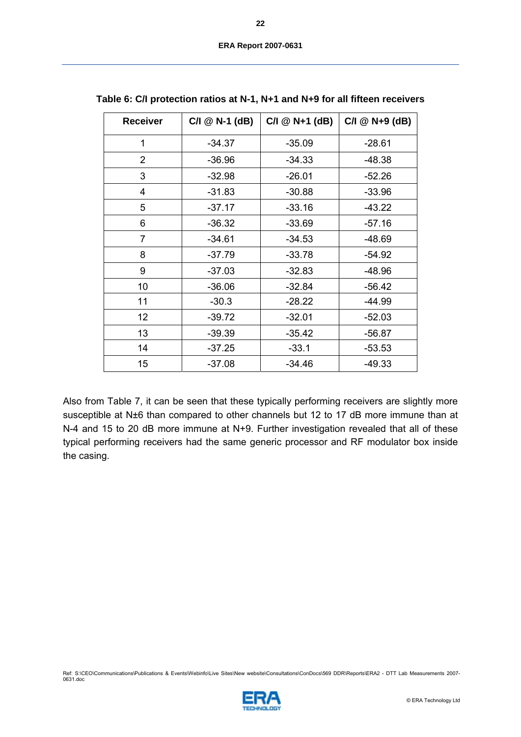| <b>Receiver</b> | $C/I \otimes N-1$ (dB) | $C/I \otimes N+1$ (dB) | $C/I \otimes N+9$ (dB) |
|-----------------|------------------------|------------------------|------------------------|
| 1               | $-34.37$               | $-35.09$               | $-28.61$               |
| $\overline{2}$  | $-36.96$               | $-34.33$               | $-48.38$               |
| 3               | $-32.98$               | $-26.01$               | $-52.26$               |
| 4               | $-31.83$               | $-30.88$               | $-33.96$               |
| 5               | $-37.17$               | $-33.16$               | $-43.22$               |
| 6               | $-36.32$               | $-33.69$               | $-57.16$               |
| $\overline{7}$  | $-34.61$               | $-34.53$               | $-48.69$               |
| 8               | $-37.79$               | $-33.78$               | $-54.92$               |
| 9               | $-37.03$               | $-32.83$               | $-48.96$               |
| 10              | $-36.06$               | $-32.84$               | $-56.42$               |
| 11              | $-30.3$                | $-28.22$               | $-44.99$               |
| 12              | $-39.72$               | $-32.01$               | $-52.03$               |
| 13              | $-39.39$               | $-35.42$               | $-56.87$               |
| 14              | $-37.25$               | $-33.1$                | $-53.53$               |
| 15              | $-37.08$               | $-34.46$               | $-49.33$               |

**Table 6: C/I protection ratios at N-1, N+1 and N+9 for all fifteen receivers** 

Also from Table 7, it can be seen that these typically performing receivers are slightly more susceptible at N±6 than compared to other channels but 12 to 17 dB more immune than at N-4 and 15 to 20 dB more immune at N+9. Further investigation revealed that all of these typical performing receivers had the same generic processor and RF modulator box inside the casing.

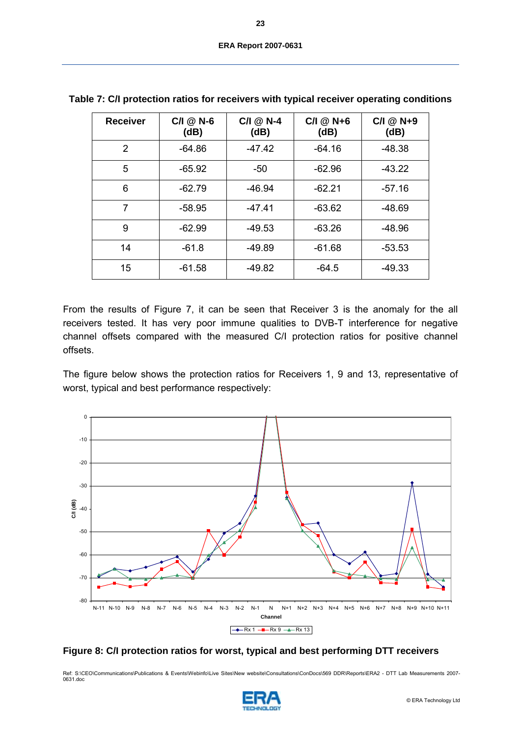| <b>Receiver</b> | $C/I \otimes N-6$<br>(dB) | $C/I \otimes N-4$<br>(dB) | $C/I \ @ \ N+6$<br>(dB) | $C/I \ @ \ N+9$<br>(dB) |
|-----------------|---------------------------|---------------------------|-------------------------|-------------------------|
| $\overline{2}$  | $-64.86$                  | $-47.42$                  | $-64.16$                | $-48.38$                |
| 5               | $-65.92$                  | -50                       | $-62.96$                | $-43.22$                |
| 6               | $-62.79$                  | $-46.94$                  | $-62.21$                | $-57.16$                |
| 7               | $-58.95$                  | $-47.41$                  | $-63.62$                | $-48.69$                |
| 9               | $-62.99$                  | $-49.53$                  | $-63.26$                | $-48.96$                |
| 14              | $-61.8$                   | $-49.89$                  | $-61.68$                | $-53.53$                |
| 15              | $-61.58$                  | $-49.82$                  | $-64.5$                 | $-49.33$                |

**Table 7: C/I protection ratios for receivers with typical receiver operating conditions** 

From the results of Figure 7, it can be seen that Receiver 3 is the anomaly for the all receivers tested. It has very poor immune qualities to DVB-T interference for negative channel offsets compared with the measured C/I protection ratios for positive channel offsets.

The figure below shows the protection ratios for Receivers 1, 9 and 13, representative of worst, typical and best performance respectively:



#### **Figure 8: C/I protection ratios for worst, typical and best performing DTT receivers**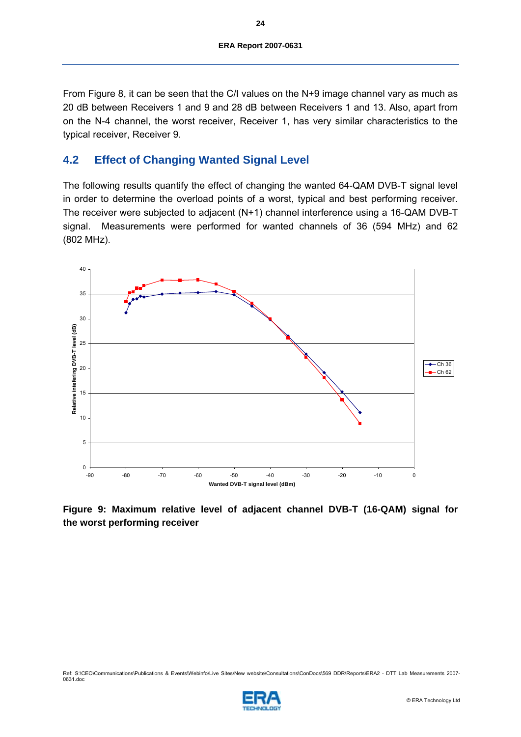From Figure 8, it can be seen that the C/I values on the N+9 image channel vary as much as 20 dB between Receivers 1 and 9 and 28 dB between Receivers 1 and 13. Also, apart from on the N-4 channel, the worst receiver, Receiver 1, has very similar characteristics to the typical receiver, Receiver 9.

# **4.2 Effect of Changing Wanted Signal Level**

The following results quantify the effect of changing the wanted 64-QAM DVB-T signal level in order to determine the overload points of a worst, typical and best performing receiver. The receiver were subjected to adjacent (N+1) channel interference using a 16-QAM DVB-T signal. Measurements were performed for wanted channels of 36 (594 MHz) and 62 (802 MHz).



**Figure 9: Maximum relative level of adjacent channel DVB-T (16-QAM) signal for the worst performing receiver** 

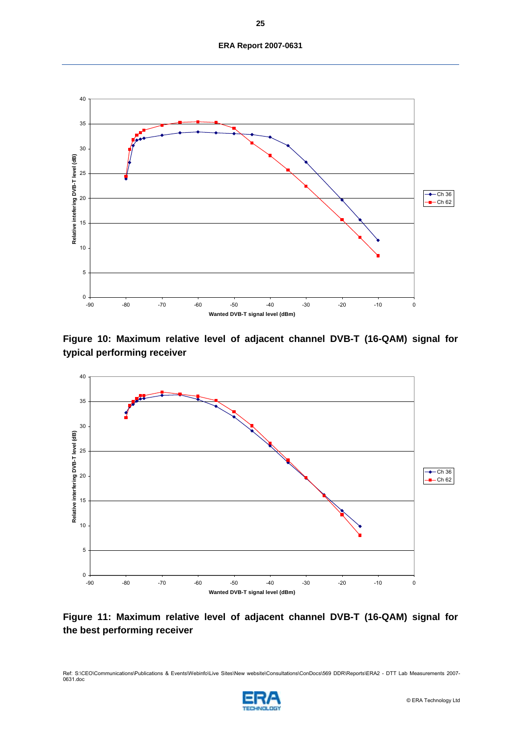

**Figure 10: Maximum relative level of adjacent channel DVB-T (16-QAM) signal for typical performing receiver** 



**Figure 11: Maximum relative level of adjacent channel DVB-T (16-QAM) signal for the best performing receiver** 

Ref: S:\CEO\Communications\Publications & Events\Webinfo\Live Sites\New website\Consultations\ConDocs\569 DDR\Reports\ERA2 - DTT Lab Measurements 2007- 0631.doc

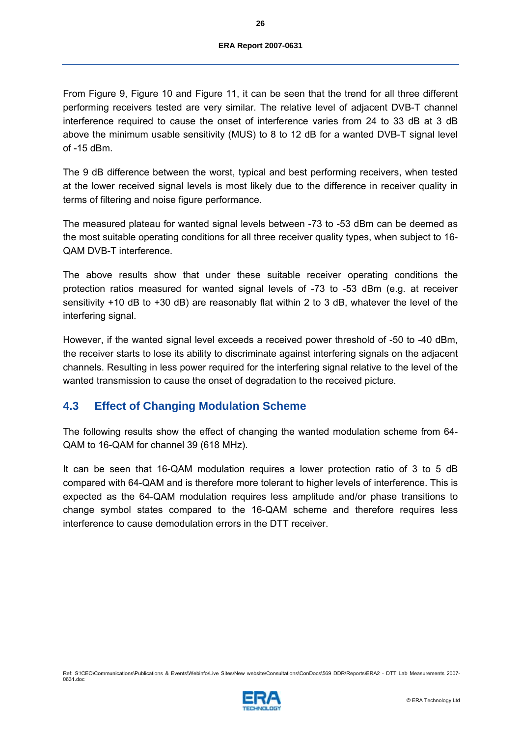From Figure 9, Figure 10 and Figure 11, it can be seen that the trend for all three different performing receivers tested are very similar. The relative level of adjacent DVB-T channel interference required to cause the onset of interference varies from 24 to 33 dB at 3 dB above the minimum usable sensitivity (MUS) to 8 to 12 dB for a wanted DVB-T signal level of -15 dBm.

The 9 dB difference between the worst, typical and best performing receivers, when tested at the lower received signal levels is most likely due to the difference in receiver quality in terms of filtering and noise figure performance.

The measured plateau for wanted signal levels between -73 to -53 dBm can be deemed as the most suitable operating conditions for all three receiver quality types, when subject to 16- QAM DVB-T interference.

The above results show that under these suitable receiver operating conditions the protection ratios measured for wanted signal levels of -73 to -53 dBm (e.g. at receiver sensitivity  $+10$  dB to  $+30$  dB) are reasonably flat within 2 to 3 dB, whatever the level of the interfering signal.

However, if the wanted signal level exceeds a received power threshold of -50 to -40 dBm, the receiver starts to lose its ability to discriminate against interfering signals on the adjacent channels. Resulting in less power required for the interfering signal relative to the level of the wanted transmission to cause the onset of degradation to the received picture.

# **4.3 Effect of Changing Modulation Scheme**

The following results show the effect of changing the wanted modulation scheme from 64- QAM to 16-QAM for channel 39 (618 MHz).

It can be seen that 16-QAM modulation requires a lower protection ratio of 3 to 5 dB compared with 64-QAM and is therefore more tolerant to higher levels of interference. This is expected as the 64-QAM modulation requires less amplitude and/or phase transitions to change symbol states compared to the 16-QAM scheme and therefore requires less interference to cause demodulation errors in the DTT receiver.

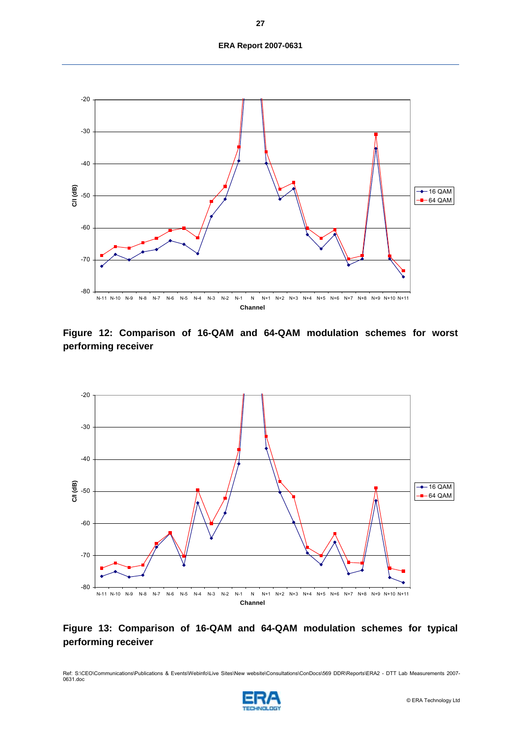



**Figure 12: Comparison of 16-QAM and 64-QAM modulation schemes for worst performing receiver** 



## **Figure 13: Comparison of 16-QAM and 64-QAM modulation schemes for typical performing receiver**

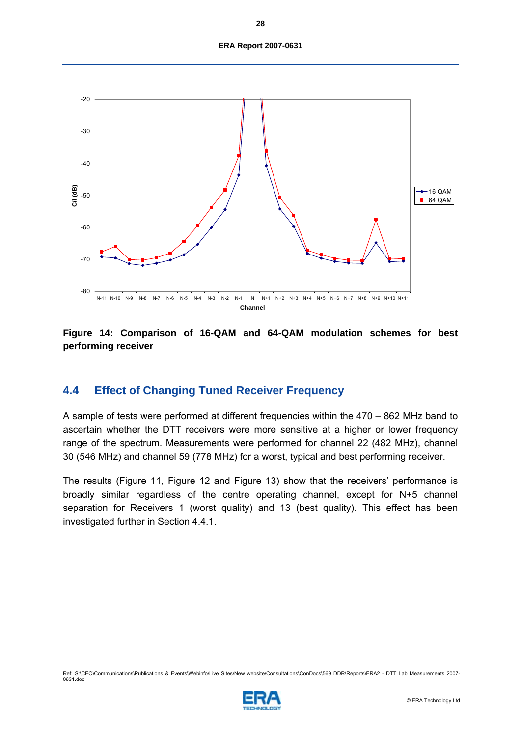

**Figure 14: Comparison of 16-QAM and 64-QAM modulation schemes for best performing receiver** 

# **4.4 Effect of Changing Tuned Receiver Frequency**

A sample of tests were performed at different frequencies within the 470 – 862 MHz band to ascertain whether the DTT receivers were more sensitive at a higher or lower frequency range of the spectrum. Measurements were performed for channel 22 (482 MHz), channel 30 (546 MHz) and channel 59 (778 MHz) for a worst, typical and best performing receiver.

The results (Figure 11, Figure 12 and Figure 13) show that the receivers' performance is broadly similar regardless of the centre operating channel, except for N+5 channel separation for Receivers 1 (worst quality) and 13 (best quality). This effect has been investigated further in Section 4.4.1.

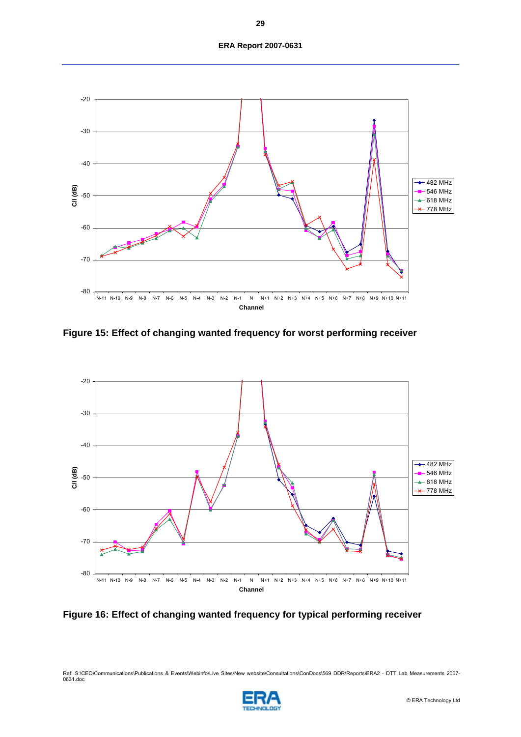

**Figure 15: Effect of changing wanted frequency for worst performing receiver** 



**Figure 16: Effect of changing wanted frequency for typical performing receiver** 

Ref: S:\CEO\Communications\Publications & Events\Webinfo\Live Sites\New website\Consultations\ConDocs\569 DDR\Reports\ERA2 - DTT Lab Measurements 2007- 0631.doc

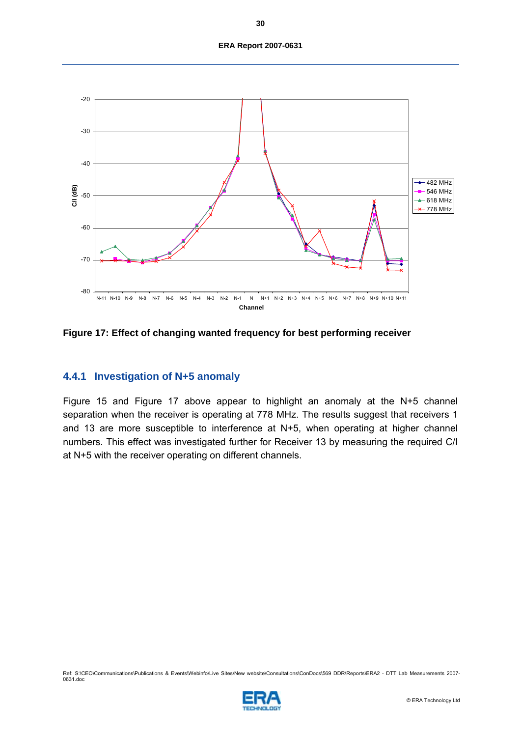**30** 



**Figure 17: Effect of changing wanted frequency for best performing receiver** 

### **4.4.1 Investigation of N+5 anomaly**

Figure 15 and Figure 17 above appear to highlight an anomaly at the N+5 channel separation when the receiver is operating at 778 MHz. The results suggest that receivers 1 and 13 are more susceptible to interference at N+5, when operating at higher channel numbers. This effect was investigated further for Receiver 13 by measuring the required C/I at N+5 with the receiver operating on different channels.

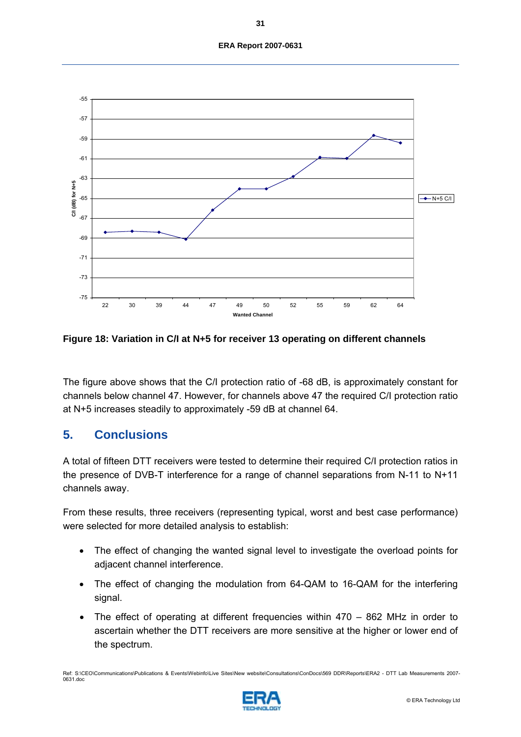

**Figure 18: Variation in C/I at N+5 for receiver 13 operating on different channels** 

The figure above shows that the C/I protection ratio of -68 dB, is approximately constant for channels below channel 47. However, for channels above 47 the required C/I protection ratio at N+5 increases steadily to approximately -59 dB at channel 64.

# **5. Conclusions**

A total of fifteen DTT receivers were tested to determine their required C/I protection ratios in the presence of DVB-T interference for a range of channel separations from N-11 to N+11 channels away.

From these results, three receivers (representing typical, worst and best case performance) were selected for more detailed analysis to establish:

- The effect of changing the wanted signal level to investigate the overload points for adjacent channel interference.
- The effect of changing the modulation from 64-QAM to 16-QAM for the interfering signal.
- The effect of operating at different frequencies within 470 862 MHz in order to ascertain whether the DTT receivers are more sensitive at the higher or lower end of the spectrum.

Ref: S:\CEO\Communications\Publications & Events\Webinfo\Live Sites\New website\Consultations\ConDocs\569 DDR\Reports\ERA2 - DTT Lab Measurements 2007-0631.doc

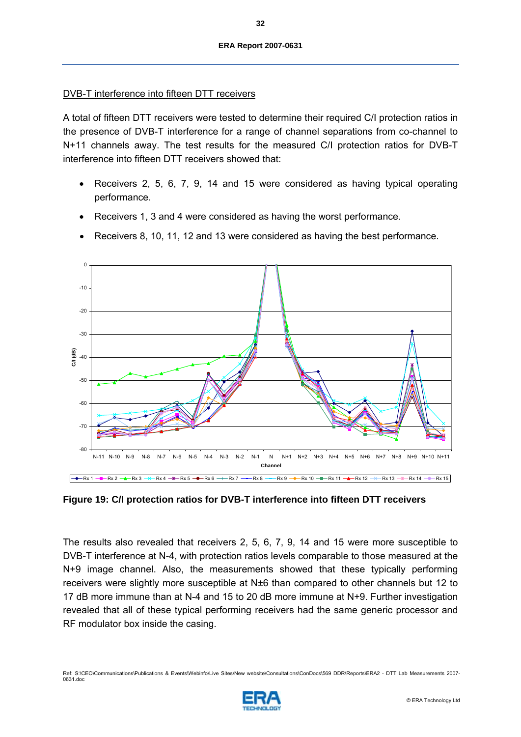#### DVB-T interference into fifteen DTT receivers

A total of fifteen DTT receivers were tested to determine their required C/I protection ratios in the presence of DVB-T interference for a range of channel separations from co-channel to N+11 channels away. The test results for the measured C/I protection ratios for DVB-T interference into fifteen DTT receivers showed that:

- Receivers 2, 5, 6, 7, 9, 14 and 15 were considered as having typical operating performance.
- Receivers 1, 3 and 4 were considered as having the worst performance.



• Receivers 8, 10, 11, 12 and 13 were considered as having the best performance.

**Figure 19: C/I protection ratios for DVB-T interference into fifteen DTT receivers** 

The results also revealed that receivers 2, 5, 6, 7, 9, 14 and 15 were more susceptible to DVB-T interference at N-4, with protection ratios levels comparable to those measured at the N+9 image channel. Also, the measurements showed that these typically performing receivers were slightly more susceptible at N±6 than compared to other channels but 12 to 17 dB more immune than at N-4 and 15 to 20 dB more immune at N+9. Further investigation revealed that all of these typical performing receivers had the same generic processor and RF modulator box inside the casing.

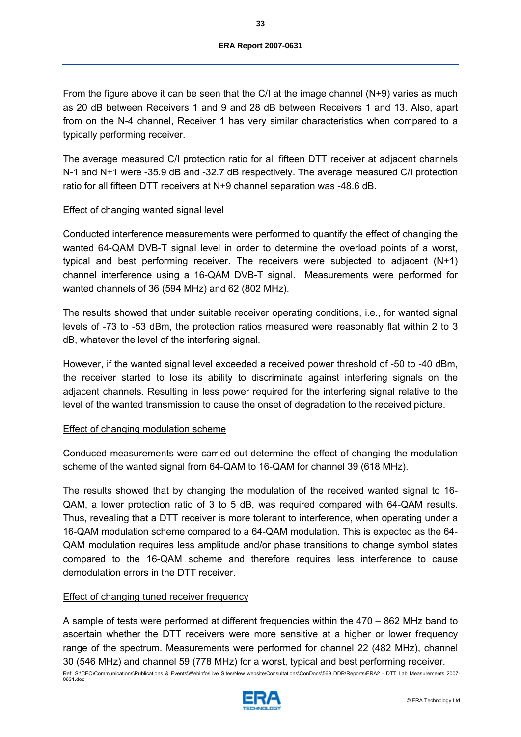**33** 

From the figure above it can be seen that the C/I at the image channel (N+9) varies as much as 20 dB between Receivers 1 and 9 and 28 dB between Receivers 1 and 13. Also, apart from on the N-4 channel, Receiver 1 has very similar characteristics when compared to a typically performing receiver.

The average measured C/I protection ratio for all fifteen DTT receiver at adjacent channels N-1 and N+1 were -35.9 dB and -32.7 dB respectively. The average measured C/I protection ratio for all fifteen DTT receivers at N+9 channel separation was -48.6 dB.

### Effect of changing wanted signal level

Conducted interference measurements were performed to quantify the effect of changing the wanted 64-QAM DVB-T signal level in order to determine the overload points of a worst. typical and best performing receiver. The receivers were subjected to adjacent (N+1) channel interference using a 16-QAM DVB-T signal. Measurements were performed for wanted channels of 36 (594 MHz) and 62 (802 MHz).

The results showed that under suitable receiver operating conditions, i.e., for wanted signal levels of -73 to -53 dBm, the protection ratios measured were reasonably flat within 2 to 3 dB, whatever the level of the interfering signal.

However, if the wanted signal level exceeded a received power threshold of -50 to -40 dBm, the receiver started to lose its ability to discriminate against interfering signals on the adjacent channels. Resulting in less power required for the interfering signal relative to the level of the wanted transmission to cause the onset of degradation to the received picture.

### Effect of changing modulation scheme

Conduced measurements were carried out determine the effect of changing the modulation scheme of the wanted signal from 64-QAM to 16-QAM for channel 39 (618 MHz).

The results showed that by changing the modulation of the received wanted signal to 16- QAM, a lower protection ratio of 3 to 5 dB, was required compared with 64-QAM results. Thus, revealing that a DTT receiver is more tolerant to interference, when operating under a 16-QAM modulation scheme compared to a 64-QAM modulation. This is expected as the 64- QAM modulation requires less amplitude and/or phase transitions to change symbol states compared to the 16-QAM scheme and therefore requires less interference to cause demodulation errors in the DTT receiver.

#### Effect of changing tuned receiver frequency

Ref: S:\CEO\Communications\Publications & Events\Webinfo\Live Sites\New website\Consultations\ConDocs\569 DDR\Reports\ERA2 - DTT Lab Measurements 2007-0631.doc A sample of tests were performed at different frequencies within the 470 – 862 MHz band to ascertain whether the DTT receivers were more sensitive at a higher or lower frequency range of the spectrum. Measurements were performed for channel 22 (482 MHz), channel 30 (546 MHz) and channel 59 (778 MHz) for a worst, typical and best performing receiver.

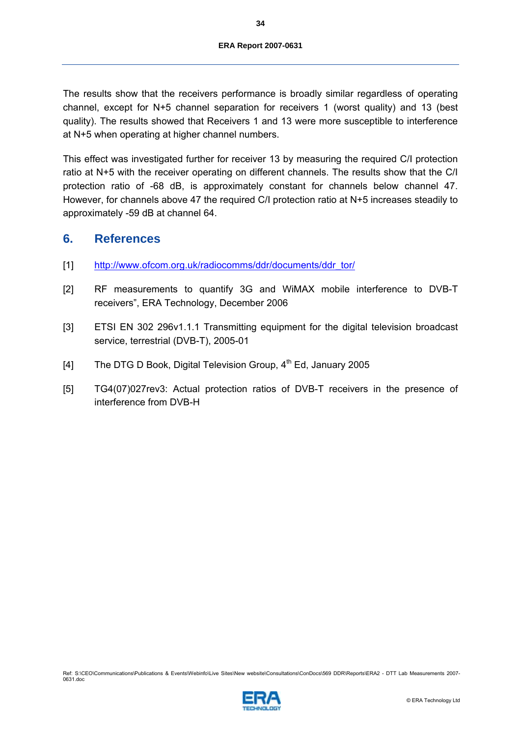The results show that the receivers performance is broadly similar regardless of operating channel, except for N+5 channel separation for receivers 1 (worst quality) and 13 (best quality). The results showed that Receivers 1 and 13 were more susceptible to interference at N+5 when operating at higher channel numbers.

This effect was investigated further for receiver 13 by measuring the required C/I protection ratio at N+5 with the receiver operating on different channels. The results show that the C/I protection ratio of -68 dB, is approximately constant for channels below channel 47. However, for channels above 47 the required C/I protection ratio at N+5 increases steadily to approximately -59 dB at channel 64.

# **6. References**

- [1] http://www.ofcom.org.uk/radiocomms/ddr/documents/ddr\_tor/
- [2] RF measurements to quantify 3G and WiMAX mobile interference to DVB-T receivers", ERA Technology, December 2006
- [3] ETSI EN 302 296v1.1.1 Transmitting equipment for the digital television broadcast service, terrestrial (DVB-T), 2005-01
- [4] The DTG D Book, Digital Television Group,  $4<sup>th</sup>$  Ed, January 2005
- [5] TG4(07)027rev3: Actual protection ratios of DVB-T receivers in the presence of interference from DVB-H

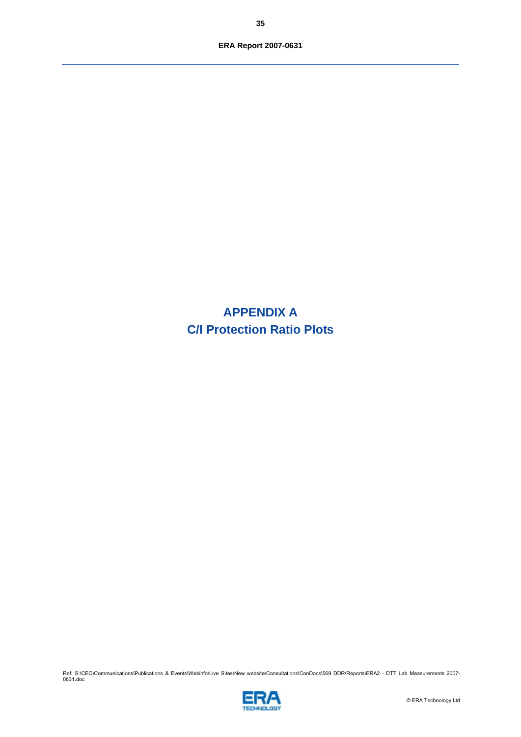**35** 

**APPENDIX A C/I Protection Ratio Plots** 

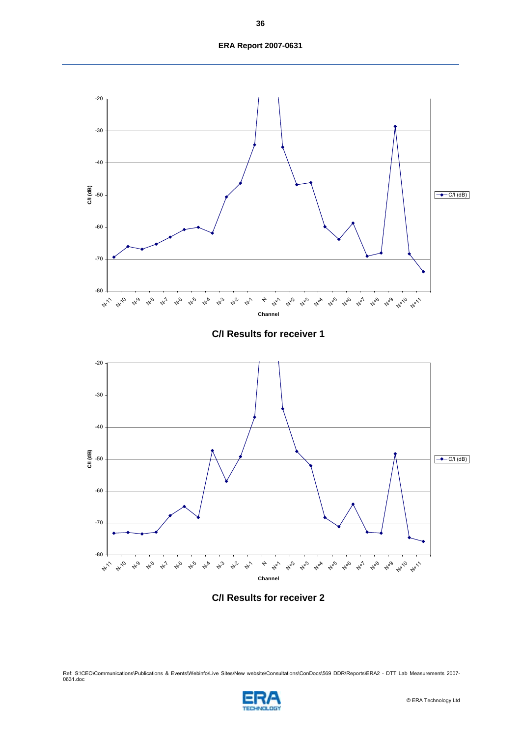

**Channel C/I Results for receiver 2** 

 $\begin{array}{cc} \tau_{x} & \tau_{x_1} & \tau_{x_2} & \tau_{x_p} & \tau_{x_p} & \tau_{x_p} & \tau_{x_p} & \tau_{x_p} & \tau_{x_p} \end{array}$ 

N

 $4^{3}$ 

 $\forall_{\mathcal{Y}}\ \ \ \forall_{\mathcal{Y}}$ 

-80

A<sub>V, A/2</sub> A<sub>8</sub> A<sub>12</sub> A<sub>12</sub> A<sub>12</sub>

Ref: S:\CEO\Communications\Publications & Events\Webinfo\Live Sites\New website\Consultations\ConDocs\569 DDR\Reports\ERA2 - DTT Lab Measurements 2007- 0631.doc

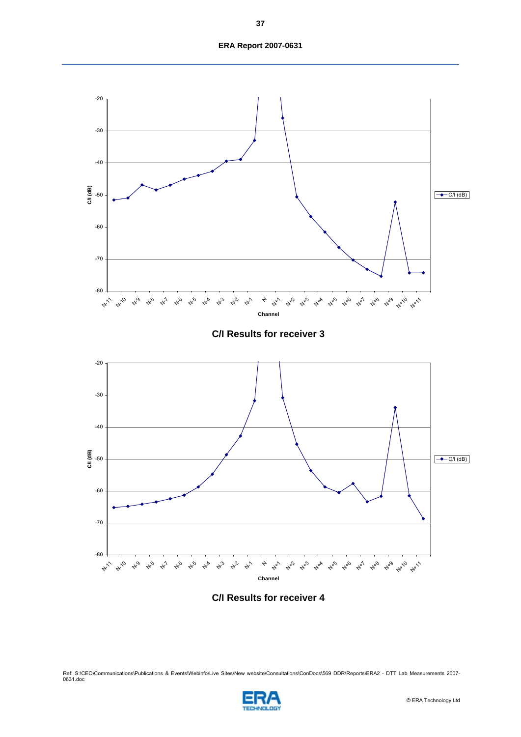





Ref: S:\CEO\Communications\Publications & Events\Webinfo\Live Sites\New website\Consultations\ConDocs\569 DDR\Reports\ERA2 - DTT Lab Measurements 2007- 0631.doc

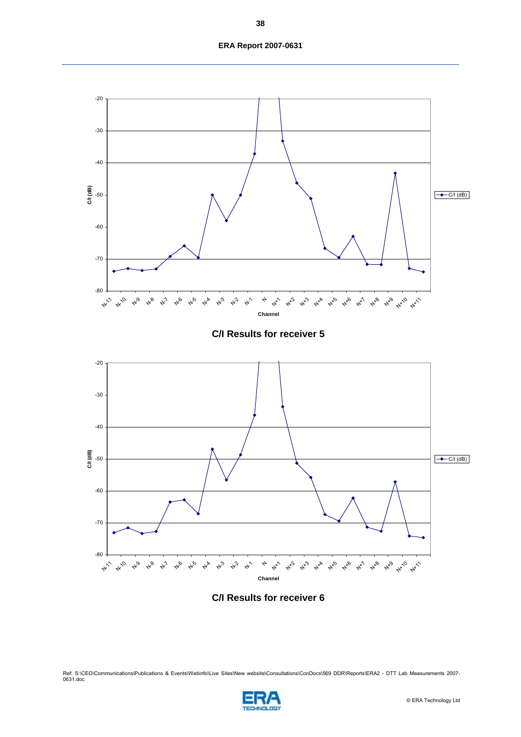

**C/I Results for receiver 6** 

Ref: S:\CEO\Communications\Publications & Events\Webinfo\Live Sites\New website\Consultations\ConDocs\569 DDR\Reports\ERA2 - DTT Lab Measurements 2007- 0631.doc

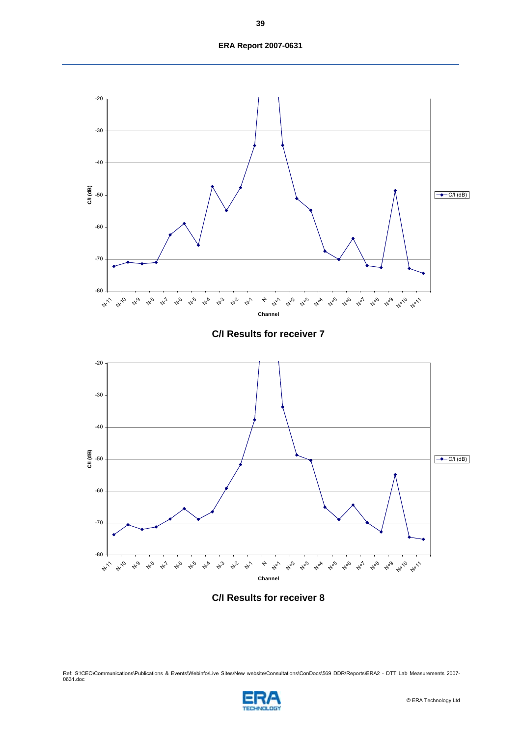

**C/I Results for receiver 8** 

Ref: S:\CEO\Communications\Publications & Events\Webinfo\Live Sites\New website\Consultations\ConDocs\569 DDR\Reports\ERA2 - DTT Lab Measurements 2007- 0631.doc

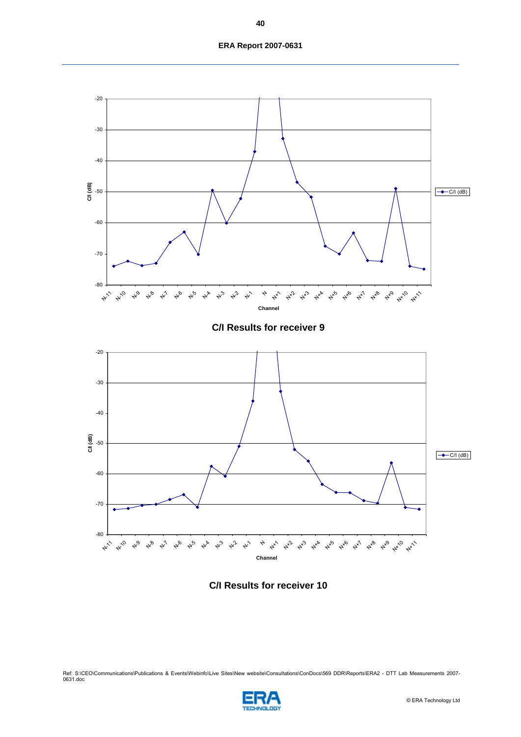

**C/I Results for receiver 10** 

Ref: S:\CEO\Communications\Publications & Events\Webinfo\Live Sites\New website\Consultations\ConDocs\569 DDR\Reports\ERA2 - DTT Lab Measurements 2007- 0631.doc

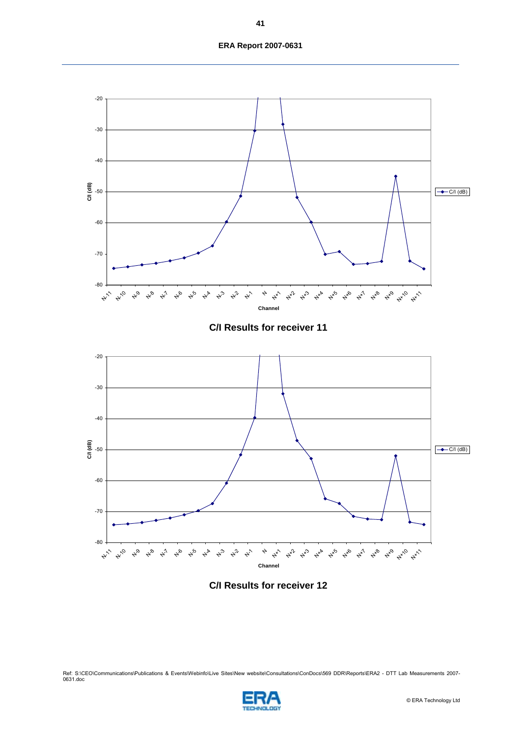



Ref: S:\CEO\Communications\Publications & Events\Webinfo\Live Sites\New website\Consultations\ConDocs\569 DDR\Reports\ERA2 - DTT Lab Measurements 2007- 0631.doc

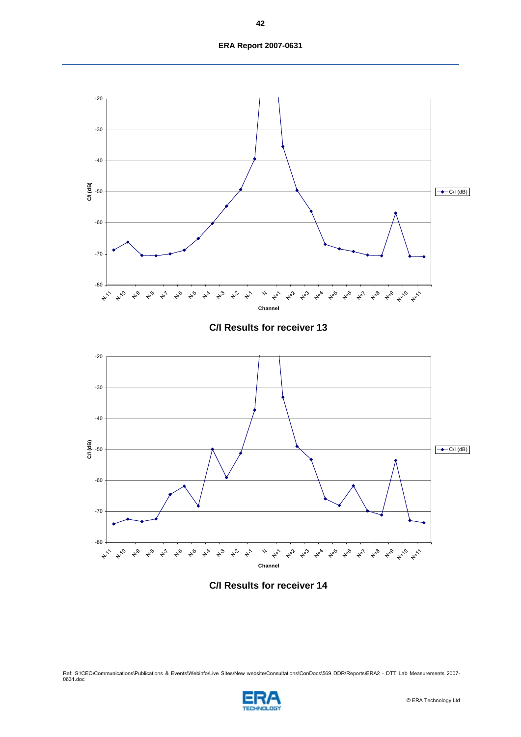

**C/I Results for receiver 14** 

Ref: S:\CEO\Communications\Publications & Events\Webinfo\Live Sites\New website\Consultations\ConDocs\569 DDR\Reports\ERA2 - DTT Lab Measurements 2007- 0631.doc

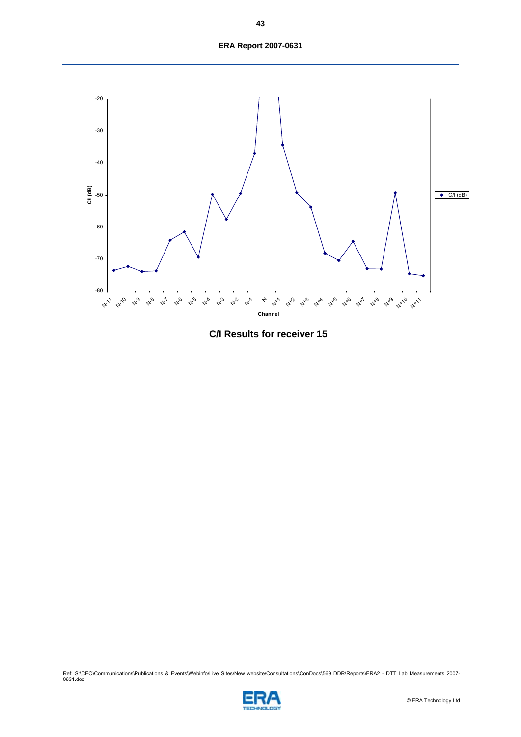**43** 



**C/I Results for receiver 15** 

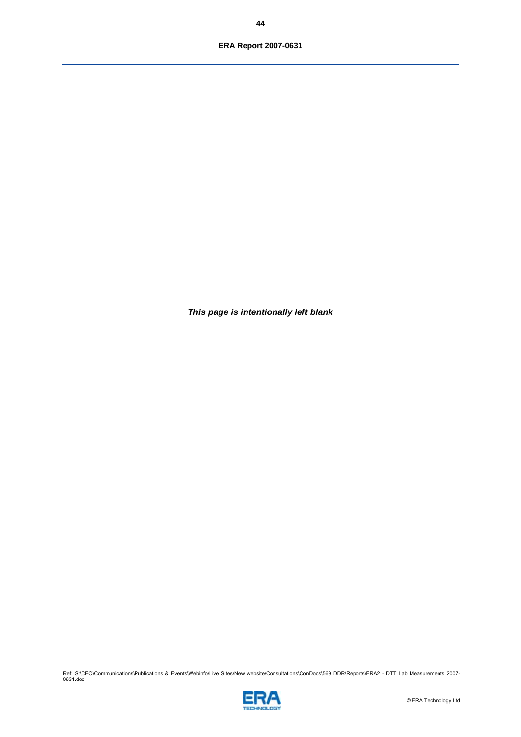**44** 

*This page is intentionally left blank*